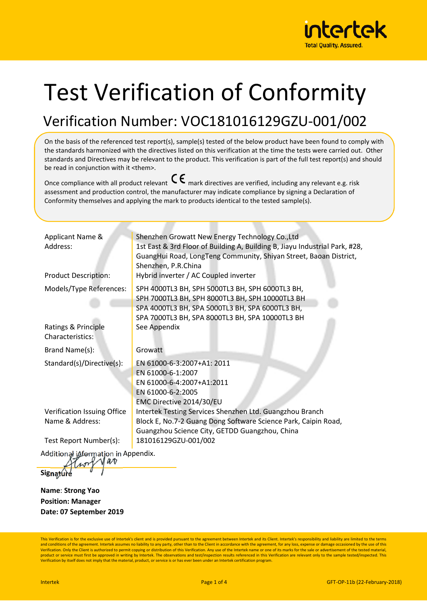

## Test Verification of Conformity

## Verification Number: VOC181016129GZU-001/002

On the basis of the referenced test report(s), sample(s) tested of the below product have been found to comply with the standards harmonized with the directives listed on this verification at the time the tests were carried out. Other standards and Directives may be relevant to the product. This verification is part of the full test report(s) and should be read in conjunction with it <them>.

Once compliance with all product relevant  $\mathsf{C}\boldsymbol{\epsilon}$  mark directives are verified, including any relevant e.g. risk assessment and production control, the manufacturer may indicate compliance by signing a Declaration of Conformity themselves and applying the mark to products identical to the tested sample(s).

| Applicant Name &<br>Address:<br><b>Product Description:</b> | Shenzhen Growatt New Energy Technology Co., Ltd<br>1st East & 3rd Floor of Building A, Building B, Jiayu Industrial Park, #28,<br>GuangHui Road, LongTeng Community, Shiyan Street, Baoan District,<br>Shenzhen, P.R.China<br>Hybrid inverter / AC Coupled inverter |
|-------------------------------------------------------------|---------------------------------------------------------------------------------------------------------------------------------------------------------------------------------------------------------------------------------------------------------------------|
| Models/Type References:                                     | SPH 4000TL3 BH, SPH 5000TL3 BH, SPH 6000TL3 BH,                                                                                                                                                                                                                     |
| Ratings & Principle<br>Characteristics:                     | SPH 7000TL3 BH, SPH 8000TL3 BH, SPH 10000TL3 BH<br>SPA 4000TL3 BH, SPA 5000TL3 BH, SPA 6000TL3 BH,<br>SPA 7000TL3 BH, SPA 8000TL3 BH, SPA 10000TL3 BH<br>See Appendix                                                                                               |
| Brand Name(s):                                              | Growatt                                                                                                                                                                                                                                                             |
| Standard(s)/Directive(s):                                   | EN 61000-6-3:2007+A1: 2011<br>EN 61000-6-1:2007<br>EN 61000-6-4:2007+A1:2011<br>EN 61000-6-2:2005<br>EMC Directive 2014/30/EU                                                                                                                                       |
| Verification Issuing Office                                 | Intertek Testing Services Shenzhen Ltd. Guangzhou Branch                                                                                                                                                                                                            |
| Name & Address:                                             | Block E, No.7-2 Guang Dong Software Science Park, Caipin Road,<br>Guangzhou Science City, GETDD Guangzhou, China                                                                                                                                                    |
| Test Report Number(s):                                      | 181016129GZU-001/002                                                                                                                                                                                                                                                |
| Additional information in Appendix.                         |                                                                                                                                                                                                                                                                     |

**Signature** 

**Name**: **Strong Yao Position: Manager Date: 07 September 2019** 

This Verification is for the exclusive use of Intertek's client and is provided pursuant to the agreement between Intertek and its Client. Intertek's responsibility and liability are limited to the terms and conditions of the agreement. Intertek assumes no liability to any party, other than to the Client in accordance with the agreement, for any loss, expense or damage occasioned by the use of this<br>Verification. Only the C product or service must first be approved in writing by Intertek. The observations and test/inspection results referenced in this Verification are relevant only to the sample tested/inspected. This<br>Verification by itself d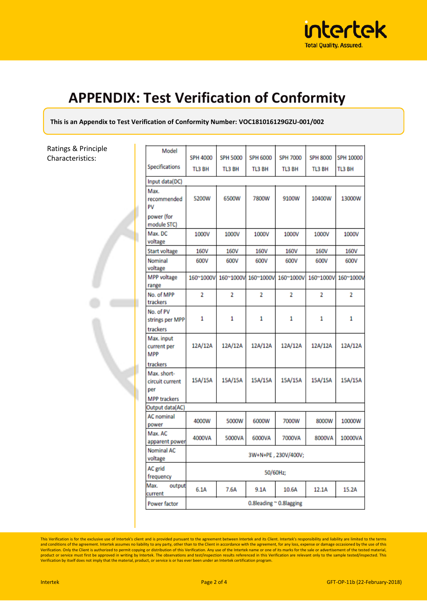

## **APPENDIX: Test Verification of Conformity**

**This is an Appendix to Test Verification of Conformity Number: VOC181016129GZU-001/002** 

Ratings & Principle Characteristics:

| Model                                    | <b>SPH 4000</b>         | <b>SPH 5000</b> | <b>SPH 6000</b> | <b>SPH 7000</b> | <b>SPH 8000</b> | SPH 10000 |
|------------------------------------------|-------------------------|-----------------|-----------------|-----------------|-----------------|-----------|
| Specifications                           | <b>TL3 BH</b>           | TL3 BH          | TL3 BH          | TL3 BH          | TL3 BH          | TL3 BH    |
|                                          |                         |                 |                 |                 |                 |           |
| Input data(DC)                           |                         |                 |                 |                 |                 |           |
| Max.<br>recommended<br>PV                | 5200W                   | 6500W           | 7800W           | 9100W           | 10400W          | 13000W    |
| power (for<br>module STC)                |                         |                 |                 |                 |                 |           |
| Max. DC<br>voltage                       | 1000V                   | 1000V           | 1000V           | 1000V           | 1000V           | 1000V     |
| <b>Start voltage</b>                     | 160V                    | 160V            | 160V            | 160V            | 160V            | 160V      |
| Nominal<br>voltage                       | 600V                    | 600V            | 600V            | 600V            | 600V            | 600V      |
| <b>MPP</b> voltage<br>range              | 160~1000V               | 160~1000V       | 160~1000V       | 160~1000V       | 160~1000V       | 160~1000V |
| No. of MPP<br>trackers                   | $\overline{2}$          | $\overline{2}$  | $\overline{2}$  | $\overline{2}$  | $\overline{2}$  | 2         |
| No. of PV<br>strings per MPP<br>trackers | 1                       | 1               | 1               | 1               | 1               | 1         |
| Max. input<br>current per<br><b>MPP</b>  | 12A/12A                 | 12A/12A         | 12A/12A         | 12A/12A         | 12A/12A         | 12A/12A   |
| trackers                                 |                         |                 |                 |                 |                 |           |
| Max. short-<br>circuit current<br>per    | 15A/15A                 | 15A/15A         | 15A/15A         | 15A/15A         | 15A/15A         | 15A/15A   |
| <b>MPP trackers</b>                      |                         |                 |                 |                 |                 |           |
| Output data(AC)                          |                         |                 |                 |                 |                 |           |
| <b>AC</b> nominal<br>power               | 4000W                   | 5000W           | 6000W           | 7000W           | 8000W           | 10000W    |
| Max. AC<br>apparent power                | 4000VA                  | 5000VA          | 6000VA          | 7000VA          | 8000VA          | 10000VA   |
| <b>Nominal AC</b><br>voltage             | 3W+N+PE, 230V/400V;     |                 |                 |                 |                 |           |
| AC grid<br>frequency                     | 50/60Hz;                |                 |                 |                 |                 |           |
| Max.<br>output<br>current                | 6.1A                    | 7.6A            | 9.1A            | 10.6A           | 12.1A           | 15.2A     |
| Power factor                             | 0.8leading ~ 0.8lagging |                 |                 |                 |                 |           |

This Verification is for the exclusive use of Intertek's client and is provided pursuant to the agreement between Intertek and its Client. Intertek's responsibility and liability are limited to the terms<br>and conditions of product or service must first be approved in writing by Intertek. The observations and test/inspection results referenced in this Verification are relevant only to the sample tested/inspected. This<br>Verification by itself d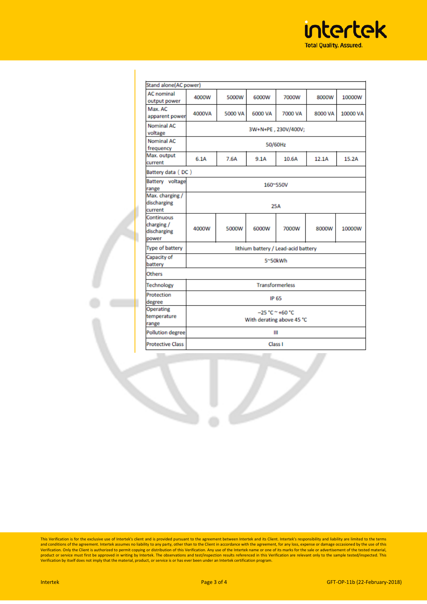

| Stand alone(AC power)                            |                                                |         |         |         |         |          |
|--------------------------------------------------|------------------------------------------------|---------|---------|---------|---------|----------|
| <b>AC</b> nominal<br>output power                | 4000W                                          | 5000W   | 6000W   | 7000W   | 8000W   | 10000W   |
| Max. AC<br>apparent power                        | 4000VA                                         | 5000 VA | 6000 VA | 7000 VA | 8000 VA | 10000 VA |
| <b>Nominal AC</b><br>voltage                     | 3W+N+PE, 230V/400V;                            |         |         |         |         |          |
| <b>Nominal AC</b><br>frequency                   | 50/60Hz                                        |         |         |         |         |          |
| Max. output<br>current                           | 6.1A                                           | 7.6A    | 9.1A    | 10.6A   | 12.1A   | 15.2A    |
| Battery data (DC)                                |                                                |         |         |         |         |          |
| Battery voltage<br>range                         | 160~550V                                       |         |         |         |         |          |
| Max. charging /<br>discharging<br>current        | 25A                                            |         |         |         |         |          |
| Continuous<br>charging /<br>discharging<br>power | 4000W                                          | 5000W   | 6000W   | 7000W   | 8000W   | 10000W   |
| <b>Type of battery</b>                           | lithium battery / Lead-acid battery            |         |         |         |         |          |
| Capacity of<br>battery                           | 5~50kWh                                        |         |         |         |         |          |
| Others                                           |                                                |         |         |         |         |          |
| <b>Technology</b>                                | <b>Transformerless</b>                         |         |         |         |         |          |
| Protection<br>degree                             | <b>IP 65</b>                                   |         |         |         |         |          |
| <b>Operating</b><br>temperature<br>range         | $-25 °C$ ~ +60 °C<br>With derating above 45 °C |         |         |         |         |          |
| <b>Pollution degree</b>                          | Ш                                              |         |         |         |         |          |
| <b>Protective Class</b>                          | Class I                                        |         |         |         |         |          |
|                                                  |                                                |         |         |         |         |          |

This Verification is for the exclusive use of Intertek's client and is provided pursuant to the agreement between Intertek and its Client. Intertek's responsibility and liability are limited to the terms and conditions of